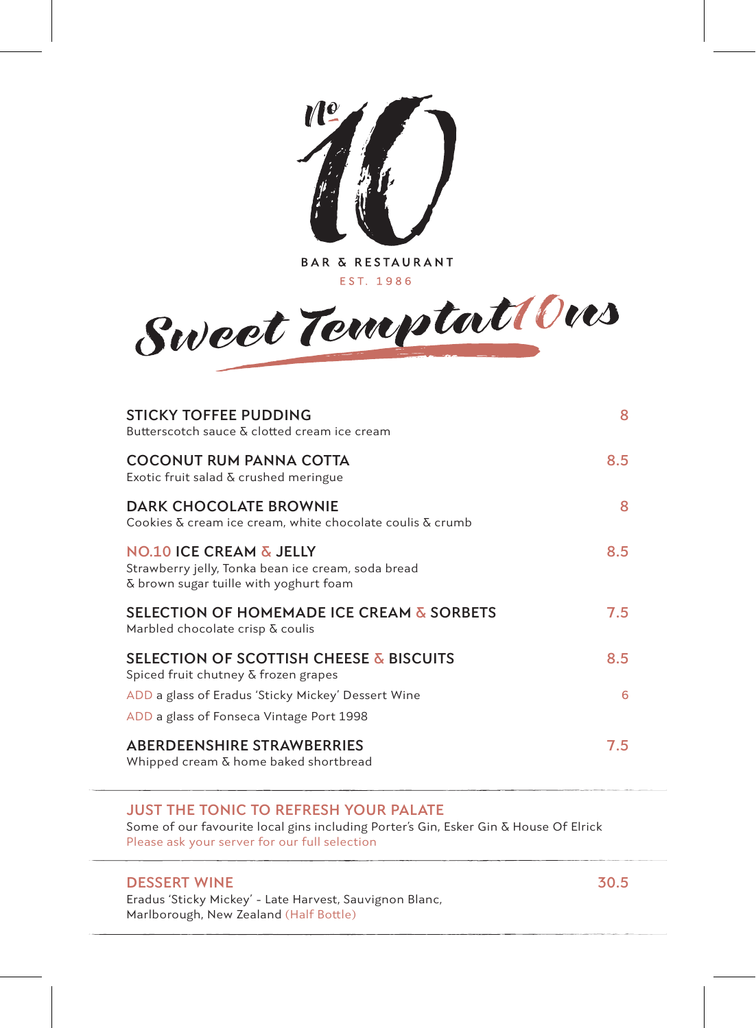

**BAR & RESTAURANT** EST. 1986



| <b>STICKY TOFFEE PUDDING</b><br>Butterscotch sauce & clotted cream ice cream                                                       | 8   |
|------------------------------------------------------------------------------------------------------------------------------------|-----|
| <b>COCONUT RUM PANNA COTTA</b><br>Exotic fruit salad & crushed meringue                                                            | 8.5 |
| DARK CHOCOLATE BROWNIE<br>Cookies $\delta$ cream ice cream, white chocolate coulis $\delta$ crumb                                  | 8   |
| <b>NO.10 ICE CREAM &amp; JELLY</b><br>Strawberry jelly, Tonka bean ice cream, soda bread<br>& brown sugar tuille with yoghurt foam | 8.5 |
| <b>SELECTION OF HOMEMADE ICE CREAM &amp; SORBETS</b><br>Marbled chocolate crisp & coulis                                           | 7.5 |
| <b>SELECTION OF SCOTTISH CHEESE &amp; BISCUITS</b><br>Spiced fruit chutney $\delta$ frozen grapes                                  | 8.5 |
| ADD a glass of Eradus 'Sticky Mickey' Dessert Wine<br>ADD a glass of Fonseca Vintage Port 1998                                     | 6   |
| <b>ABERDEENSHIRE STRAWBERRIES</b><br>Whipped cream & home baked shortbread                                                         | 7.5 |

## **JUST THE TONIC TO REFRESH YOUR PALATE**

Some of our favourite local gins including Porter's Gin, Esker Gin & House Of Elrick Please ask your server for our full selection

## **DESSERT WINE 30.5**

Eradus 'Sticky Mickey' - Late Harvest, Sauvignon Blanc, Marlborough, New Zealand (Half Bottle)